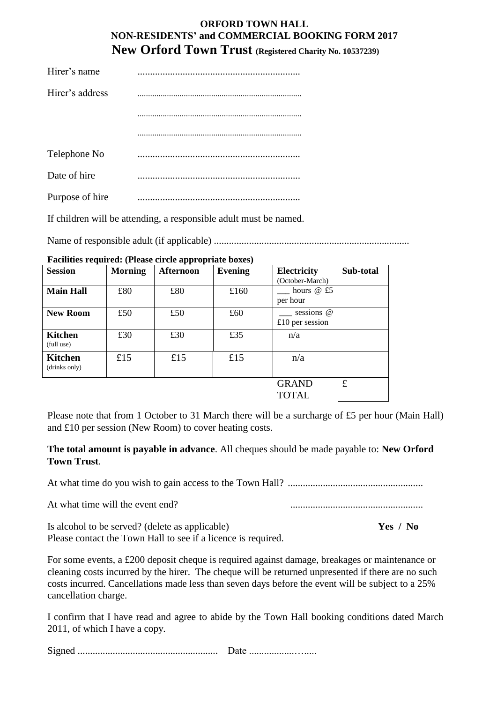## **ORFORD TOWN HALL NON-RESIDENTS' and COMMERCIAL BOOKING FORM 2017 New Orford Town Trust (Registered Charity No. 10537239)**

| Hirer's name    |  |
|-----------------|--|
| Hirer's address |  |
|                 |  |
|                 |  |
| Telephone No    |  |
| Date of hire    |  |
| Purpose of hire |  |

If children will be attending, a responsible adult must be named.

Name of responsible adult (if applicable) ..............................................................................

| <b>Session</b>   | <b>Morning</b> | <b>Afternoon</b> | <b>Evening</b> | Electricity     | Sub-total |
|------------------|----------------|------------------|----------------|-----------------|-----------|
|                  |                |                  |                | (October-March) |           |
| <b>Main Hall</b> | £80            | £80              | £160           | hours @ £5      |           |
|                  |                |                  |                | per hour        |           |
| <b>New Room</b>  | £50            | £50              | £60            | sessions $@$    |           |
|                  |                |                  |                | £10 per session |           |
| <b>Kitchen</b>   | £30            | £30              | £35            | n/a             |           |
| (full use)       |                |                  |                |                 |           |
| <b>Kitchen</b>   | £15            | £15              | £15            | n/a             |           |
| (drinks only)    |                |                  |                |                 |           |
|                  |                |                  |                |                 |           |
|                  |                |                  |                | <b>GRAND</b>    | $\pounds$ |
|                  |                |                  |                | <b>TOTAL</b>    |           |

**Facilities required: (Please circle appropriate boxes)**

Please note that from 1 October to 31 March there will be a surcharge of £5 per hour (Main Hall) and £10 per session (New Room) to cover heating costs.

## **The total amount is payable in advance**. All cheques should be made payable to: **New Orford Town Trust**.

At what time do you wish to gain access to the Town Hall? ......................................................

At what time will the event end? .....................................................

Is alcohol to be served? (delete as applicable) **Yes / No** Please contact the Town Hall to see if a licence is required.

For some events, a £200 deposit cheque is required against damage, breakages or maintenance or cleaning costs incurred by the hirer. The cheque will be returned unpresented if there are no such costs incurred. Cancellations made less than seven days before the event will be subject to a 25% cancellation charge.

I confirm that I have read and agree to abide by the Town Hall booking conditions dated March 2011, of which I have a copy.

Signed ........................................................ Date ..................….....